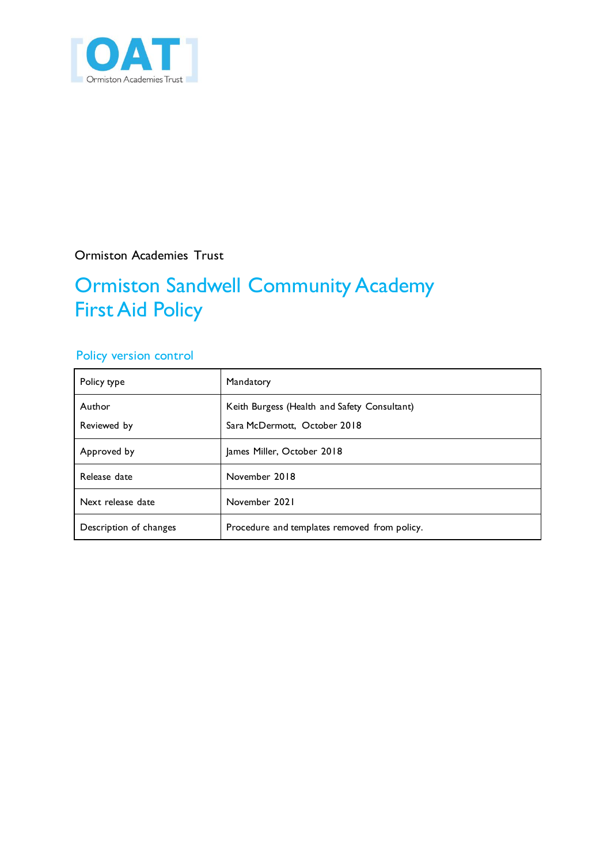

Ormiston Academies Trust

# Ormiston Sandwell Community Academy First Aid Policy

### Policy version control

| Policy type            | Mandatory                                                                    |
|------------------------|------------------------------------------------------------------------------|
| Author<br>Reviewed by  | Keith Burgess (Health and Safety Consultant)<br>Sara McDermott, October 2018 |
| Approved by            | James Miller, October 2018                                                   |
| Release date           | November 2018                                                                |
| Next release date      | November 2021                                                                |
| Description of changes | Procedure and templates removed from policy.                                 |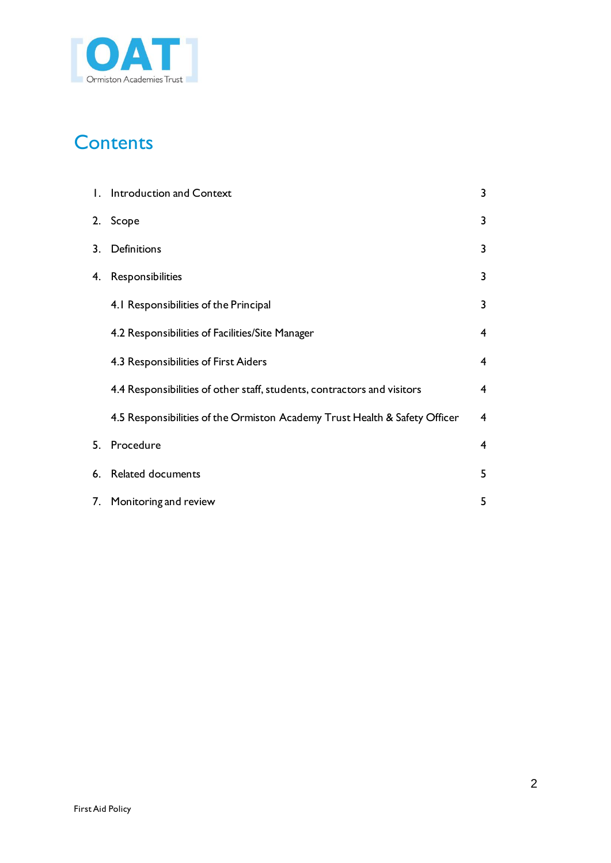

# **Contents**

| $\mathbf{L}$ | Introduction and Context                                                   | 3 |
|--------------|----------------------------------------------------------------------------|---|
| 2.           | Scope                                                                      | 3 |
| 3.           | Definitions                                                                | 3 |
| 4.           | Responsibilities                                                           | 3 |
|              | 4.1 Responsibilities of the Principal                                      | 3 |
|              | 4.2 Responsibilities of Facilities/Site Manager                            | 4 |
|              | 4.3 Responsibilities of First Aiders                                       | 4 |
|              | 4.4 Responsibilities of other staff, students, contractors and visitors    | 4 |
|              | 4.5 Responsibilities of the Ormiston Academy Trust Health & Safety Officer | 4 |
| 5.           | Procedure                                                                  | 4 |
| 6.           | Related documents                                                          | 5 |
| 7.           | Monitoring and review                                                      | 5 |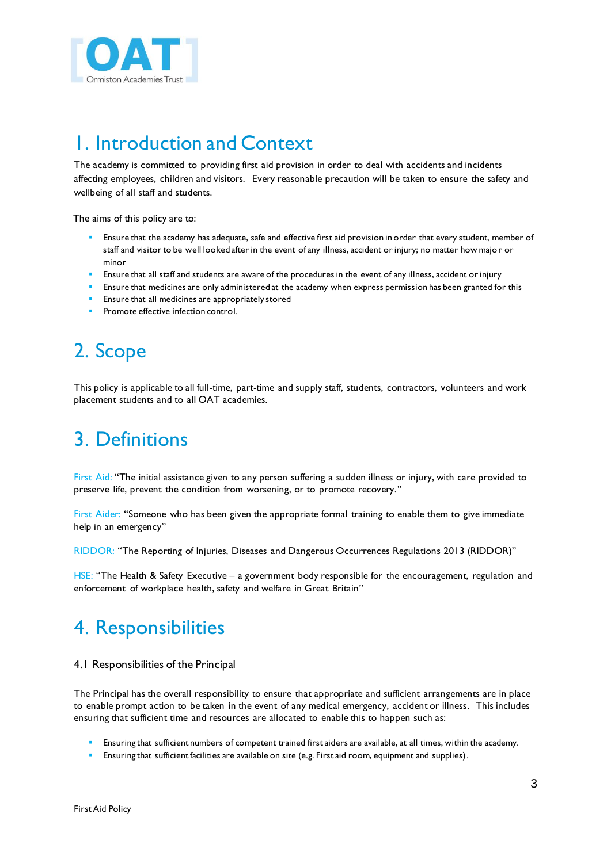

### 1. Introduction and Context

The academy is committed to providing first aid provision in order to deal with accidents and incidents affecting employees, children and visitors. Every reasonable precaution will be taken to ensure the safety and wellbeing of all staff and students.

The aims of this policy are to:

- Ensure that the academy has adequate, safe and effective first aid provision in order that every student, member of staff and visitor to be well looked after in the event of any illness, accident or injury; no matter how major or minor
- Ensure that all staff and students are aware of the procedures in the event of any illness, accident or injury
- Ensure that medicines are only administered at the academy when express permission has been granted for this
- Ensure that all medicines are appropriately stored
- Promote effective infection control.

# 2. Scope

This policy is applicable to all full-time, part-time and supply staff, students, contractors, volunteers and work placement students and to all OAT academies.

### 3. Definitions

First Aid: "The initial assistance given to any person suffering a sudden illness or injury, with care provided to preserve life, prevent the condition from worsening, or to promote recovery."

First Aider: "Someone who has been given the appropriate formal training to enable them to give immediate help in an emergency"

RIDDOR: "The Reporting of Injuries, Diseases and Dangerous Occurrences Regulations 2013 (RIDDOR)"

HSE: "The Health & Safety Executive - a government body responsible for the encouragement, regulation and enforcement of workplace health, safety and welfare in Great Britain"

# 4. Responsibilities

#### 4.1 Responsibilities of the Principal

The Principal has the overall responsibility to ensure that appropriate and sufficient arrangements are in place to enable prompt action to be taken in the event of any medical emergency, accident or illness. This includes ensuring that sufficient time and resources are allocated to enable this to happen such as:

- Ensuring that sufficient numbers of competent trained first aiders are available, at all times, within the academy.
- Ensuring that sufficient facilities are available on site (e.g. First aid room, equipment and supplies).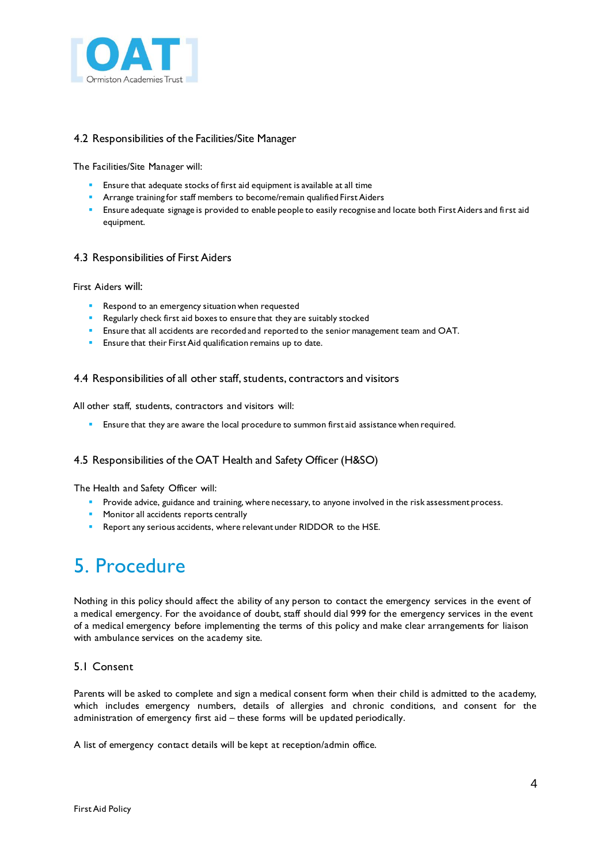

#### 4.2 Responsibilities of the Facilities/Site Manager

The Facilities/Site Manager will:

- **Ensure that adequate stocks of first aid equipment is available at all time**
- **Arrange training for staff members to become/remain qualified First Aiders**
- Ensure adequate signage is provided to enable people to easily recognise and locate both First Aiders and first aid equipment.

#### 4.3 Responsibilities of First Aiders

First Aiders will:

- Respond to an emergency situation when requested
- Regularly check first aid boxes to ensure that they are suitably stocked
- **Ensure that all accidents are recorded and reported to the senior management team and OAT.**
- Ensure that their First Aid qualification remains up to date.

#### 4.4 Responsibilities of all other staff, students, contractors and visitors

All other staff, students, contractors and visitors will:

**Ensure that they are aware the local procedure to summon first aid assistance when required.** 

#### 4.5 Responsibilities of the OAT Health and Safety Officer (H&SO)

The Health and Safety Officer will:

- **Provide advice, guidance and training, where necessary, to anyone involved in the risk assessment process.**
- **Monitor all accidents reports centrally**
- Report any serious accidents, where relevant under RIDDOR to the HSE.

### 5. Procedure

Nothing in this policy should affect the ability of any person to contact the emergency services in the event of a medical emergency. For the avoidance of doubt, staff should dial 999 for the emergency services in the event of a medical emergency before implementing the terms of this policy and make clear arrangements for liaison with ambulance services on the academy site.

#### 5.1 Consent

Parents will be asked to complete and sign a medical consent form when their child is admitted to the academy, which includes emergency numbers, details of allergies and chronic conditions, and consent for the administration of emergency first aid – these forms will be updated periodically.

A list of emergency contact details will be kept at reception/admin office.